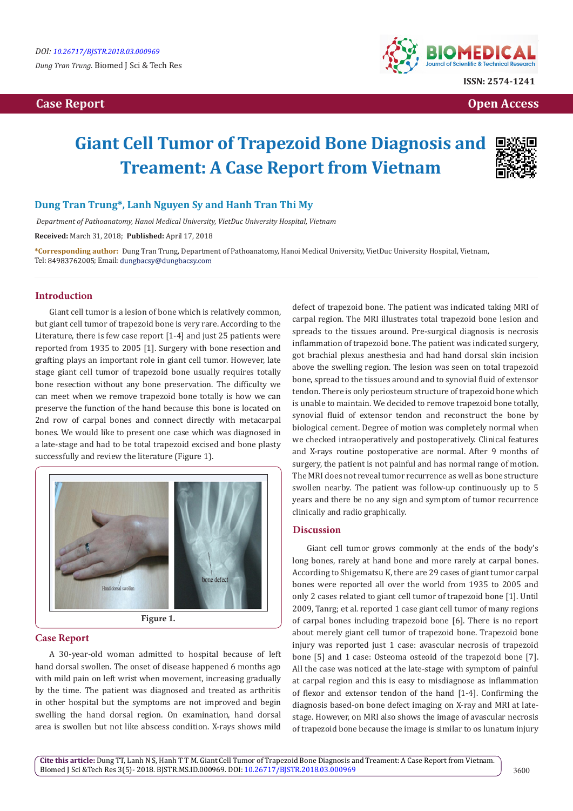

**Case Report Case Report Case Access**  $\alpha$  **Case Report** Case **Open Access Open Access** 

# **Giant Cell Tumor of Trapezoid Bone Diagnosis and Treament: A Case Report from Vietnam**



# **Dung Tran Trung\*, Lanh Nguyen Sy and Hanh Tran Thi My**

 *Department of Pathoanatomy, Hanoi Medical University, VietDuc University Hospital, Vietnam*

**Received:** March 31, 2018; **Published:** April 17, 2018

**\*Corresponding author:** Dung Tran Trung, Department of Pathoanatomy, Hanoi Medical University, VietDuc University Hospital, Vietnam, Tel: 84983762005; Email: dungbacsy@dungbacsy.com

### **Introduction**

Giant cell tumor is a lesion of bone which is relatively common, but giant cell tumor of trapezoid bone is very rare. According to the Literature, there is few case report [1-4] and just 25 patients were reported from 1935 to 2005 [1]. Surgery with bone resection and grafting plays an important role in giant cell tumor. However, late stage giant cell tumor of trapezoid bone usually requires totally bone resection without any bone preservation. The difficulty we can meet when we remove trapezoid bone totally is how we can preserve the function of the hand because this bone is located on 2nd row of carpal bones and connect directly with metacarpal bones. We would like to present one case which was diagnosed in a late-stage and had to be total trapezoid excised and bone plasty successfully and review the literature (Figure 1).



### **Case Report**

A 30-year-old woman admitted to hospital because of left hand dorsal swollen. The onset of disease happened 6 months ago with mild pain on left wrist when movement, increasing gradually by the time. The patient was diagnosed and treated as arthritis in other hospital but the symptoms are not improved and begin swelling the hand dorsal region. On examination, hand dorsal area is swollen but not like abscess condition. X-rays shows mild

defect of trapezoid bone. The patient was indicated taking MRI of carpal region. The MRI illustrates total trapezoid bone lesion and spreads to the tissues around. Pre-surgical diagnosis is necrosis inflammation of trapezoid bone. The patient was indicated surgery, got brachial plexus anesthesia and had hand dorsal skin incision above the swelling region. The lesion was seen on total trapezoid bone, spread to the tissues around and to synovial fluid of extensor tendon. There is only periosteum structure of trapezoid bone which is unable to maintain. We decided to remove trapezoid bone totally, synovial fluid of extensor tendon and reconstruct the bone by biological cement. Degree of motion was completely normal when we checked intraoperatively and postoperatively. Clinical features and X-rays routine postoperative are normal. After 9 months of surgery, the patient is not painful and has normal range of motion. The MRI does not reveal tumor recurrence as well as bone structure swollen nearby. The patient was follow-up continuously up to 5 years and there be no any sign and symptom of tumor recurrence clinically and radio graphically.

### **Discussion**

Giant cell tumor grows commonly at the ends of the body's long bones, rarely at hand bone and more rarely at carpal bones. According to Shigematsu K, there are 29 cases of giant tumor carpal bones were reported all over the world from 1935 to 2005 and only 2 cases related to giant cell tumor of trapezoid bone [1]. Until 2009, Tanrg; et al. reported 1 case giant cell tumor of many regions of carpal bones including trapezoid bone [6]. There is no report about merely giant cell tumor of trapezoid bone. Trapezoid bone injury was reported just 1 case: avascular necrosis of trapezoid bone [5] and 1 case: Osteoma osteoid of the trapezoid bone [7]. All the case was noticed at the late-stage with symptom of painful at carpal region and this is easy to misdiagnose as inflammation of flexor and extensor tendon of the hand [1-4]. Confirming the diagnosis based-on bone defect imaging on X-ray and MRI at latestage. However, on MRI also shows the image of avascular necrosis of trapezoid bone because the image is similar to os lunatum injury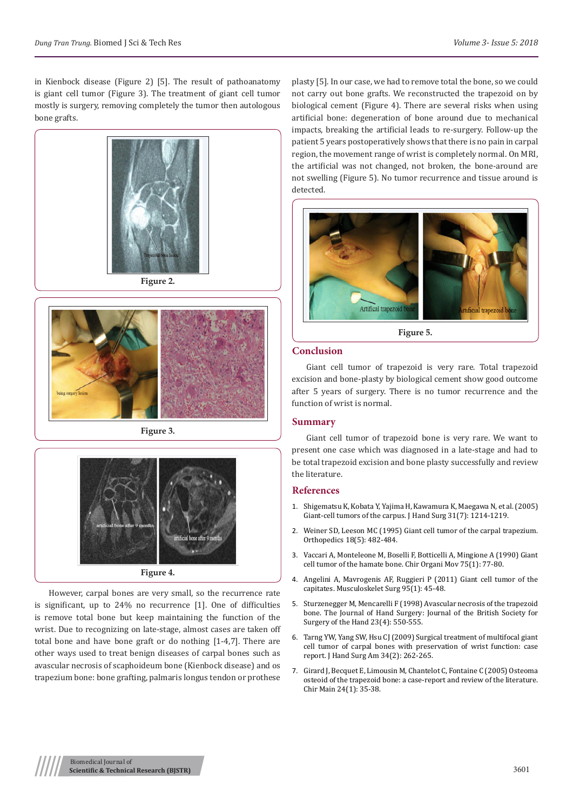in Kienbock disease (Figure 2) [5]. The result of pathoanatomy is giant cell tumor (Figure 3). The treatment of giant cell tumor mostly is surgery, removing completely the tumor then autologous bone grafts.





**Figure 3.**



However, carpal bones are very small, so the recurrence rate is significant, up to 24% no recurrence [1]. One of difficulties is remove total bone but keep maintaining the function of the wrist. Due to recognizing on late-stage, almost cases are taken off total bone and have bone graft or do nothing [1-4,7]. There are other ways used to treat benign diseases of carpal bones such as avascular necrosis of scaphoideum bone (Kienbock disease) and os trapezium bone: bone grafting, palmaris longus tendon or prothese

plasty [5]. In our case, we had to remove total the bone, so we could not carry out bone grafts. We reconstructed the trapezoid on by biological cement (Figure 4). There are several risks when using artificial bone: degeneration of bone around due to mechanical impacts, breaking the artificial leads to re-surgery. Follow-up the patient 5 years postoperatively shows that there is no pain in carpal region, the movement range of wrist is completely normal. On MRI, the artificial was not changed, not broken, the bone-around are not swelling (Figure 5). No tumor recurrence and tissue around is detected.



**Figure 5.**

#### **Conclusion**

Giant cell tumor of trapezoid is very rare. Total trapezoid excision and bone-plasty by biological cement show good outcome after 5 years of surgery. There is no tumor recurrence and the function of wrist is normal.

#### **Summary**

Giant cell tumor of trapezoid bone is very rare. We want to present one case which was diagnosed in a late-stage and had to be total trapezoid excision and bone plasty successfully and review the literature.

#### **References**

- 1. [Shigematsu K, Kobata Y, Yajima H, Kawamura K, Maegawa N, et al. \(2005\)](http://www.jhandsurg.org/article/S0363-5023(06)00697-6/fulltext) [Giant-cell tumors of the carpus. J Hand Surg 31\(7\): 1214-1219.](http://www.jhandsurg.org/article/S0363-5023(06)00697-6/fulltext)
- 2. [Weiner SD, Leeson MC \(1995\) Giant cell tumor of the carpal trapezium.](https://www.healio.com/orthopedics/journals/ortho/1995-5-18-5/%7B4db6d558-e764-42ab-912c-502f4e2a5491%7D/giant-cell-tumor-of-the-carpal-trapezium) [Orthopedics 18\(5\): 482-484.](https://www.healio.com/orthopedics/journals/ortho/1995-5-18-5/%7B4db6d558-e764-42ab-912c-502f4e2a5491%7D/giant-cell-tumor-of-the-carpal-trapezium)
- 3. Vaccari A, Monteleone M, Boselli F, Botticelli A, Mingione A (1990) Giant cell tumor of the hamate bone. Chir Organi Mov 75(1): 77-80.
- 4. [Angelini A, Mavrogenis AF, Ruggieri P \(2011\) Giant cell tumor of the](https://rd.springer.com/article/10.1007%2Fs12306-011-0105-z) [capitates. Musculoskelet Surg 95\(1\): 45-48.](https://rd.springer.com/article/10.1007%2Fs12306-011-0105-z)
- 5. [Sturzenegger M, Mencarelli F \(1998\) Avascular necrosis of the trapezoid](https://www.sciencedirect.com/science/article/pii/S0266768198801484) [bone. The Journal of Hand Surgery: Journal of the British Society for](https://www.sciencedirect.com/science/article/pii/S0266768198801484) [Surgery of the Hand 23\(4\): 550-555.](https://www.sciencedirect.com/science/article/pii/S0266768198801484)
- 6. [Tarng YW, Yang SW, Hsu CJ \(2009\) Surgical treatment of multifocal giant](https://www.sciencedirect.com/science/article/pii/S0363502308008629) [cell tumor of carpal bones with preservation of wrist function: case](https://www.sciencedirect.com/science/article/pii/S0363502308008629) [report. J Hand Surg Am 34\(2\): 262-265.](https://www.sciencedirect.com/science/article/pii/S0363502308008629)
- 7. [Girard J, Becquet E, Limousin M, Chantelot C, Fontaine C \(2005\) Osteoma](https://www.researchgate.net/publication/26889211_Osteoid_Osteoma_of_the_Capitate_A_Case_Report_and_Literature_Review) [osteoid of the trapezoid bone: a case-report and review of the literature.](https://www.researchgate.net/publication/26889211_Osteoid_Osteoma_of_the_Capitate_A_Case_Report_and_Literature_Review) [Chir Main 24\(1\): 35-38.](https://www.researchgate.net/publication/26889211_Osteoid_Osteoma_of_the_Capitate_A_Case_Report_and_Literature_Review)